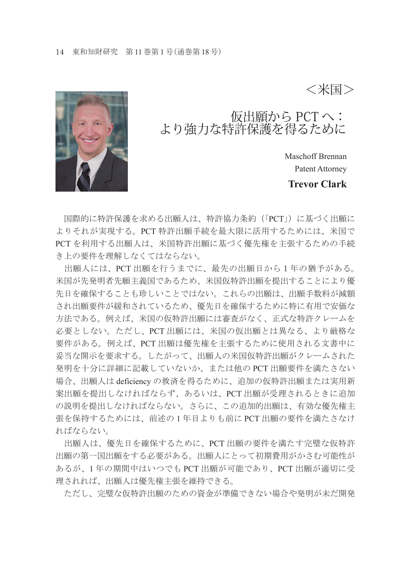

仮出願から PCT へ: より強力な特許保護を得るために

Maschoff Brennan Patent Attorney

<米国>

**Trevor Clark**

 国際的に特許保護を求める出願人は、特許協力条約(「PCT」)に基づく出願に よりそれが実現する。PCT 特許出願手続を最大限に活用するためには、米国で PCT を利用する出願人は、米国特許出願に基づく優先権を主張するための手続 き上の要件を理解しなくてはならない。

 出願人には、PCT 出願を行うまでに、最先の出願日から1年の猶予がある。 米国が先発明者先願主義国であるため、米国仮特許出願を提出することにより優 先日を確保することも珍しいことではない。これらの出願は、出願手数料が減額 され出願要件が緩和されているため、優先日を確保するために特に有用で安価な 方法である。例えば、米国の仮特許出願には審査がなく、正式な特許クレームを 必要としない。ただし、PCT 出願には、米国の仮出願とは異なる、より厳格な 要件がある。例えば、PCT 出願は優先権を主張するために使用される文書中に 妥当な開示を要求する。したがって、出願人の米国仮特許出願がクレームされた 発明を十分に詳細に記載していないか、または他の PCT 出願要件を満たさない 場合、出願人は deficiency の救済を得るために、追加の仮特許出願または実用新 案出願を提出しなければならず、あるいは、PCT 出願が受理されるときに追加 の説明を提出しなければならない。さらに、この追加的出願は、有効な優先権主 張を保持するためには、前述の 1 年目よりも前に PCT 出願の要件を満たさなけ ればならない。

 出願人は、優先日を確保するために、PCT 出願の要件を満たす完璧な仮特許 出願の第一国出願をする必要がある。出願人にとって初期費用がかさむ可能性が あるが、1 年の期間中はいつでも PCT 出願が可能であり、PCT 出願が適切に受 理されれば、出願人は優先権主張を維持できる。

ただし、完璧な仮特許出願のための資金が準備できない場合や発明が未だ開発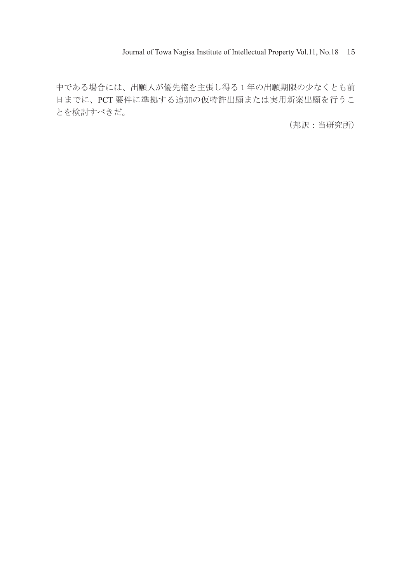Journal of Towa Nagisa Institute of Intellectual Property Vol.11, No.18 15

中である場合には、出願人が優先権を主張し得る1年の出願期限の少なくとも前 日までに、PCT 要件に準拠する追加の仮特許出願または実用新案出願を行うこ とを検討すべきだ。

(邦訳:当研究所)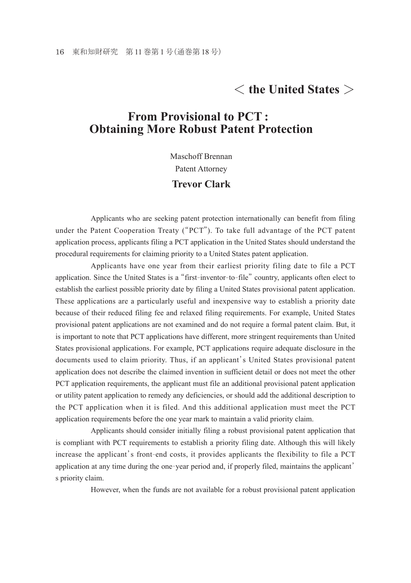## < **the United States** >

## **From Provisional to PCT : Obtaining More Robust Patent Protection**

Maschoff Brennan

Patent Attorney

## **Trevor Clark**

 Applicants who are seeking patent protection internationally can benefit from filing under the Patent Cooperation Treaty ("PCT"). To take full advantage of the PCT patent application process, applicants filing a PCT application in the United States should understand the procedural requirements for claiming priority to a United States patent application.

 Applicants have one year from their earliest priority filing date to file a PCT application. Since the United States is a "first-inventor-to-file" country, applicants often elect to establish the earliest possible priority date by filing a United States provisional patent application. These applications are a particularly useful and inexpensive way to establish a priority date because of their reduced filing fee and relaxed filing requirements. For example, United States provisional patent applications are not examined and do not require a formal patent claim. But, it is important to note that PCT applications have different, more stringent requirements than United States provisional applications. For example, PCT applications require adequate disclosure in the documents used to claim priority. Thus, if an applicant's United States provisional patent application does not describe the claimed invention in sufficient detail or does not meet the other PCT application requirements, the applicant must file an additional provisional patent application or utility patent application to remedy any deficiencies, or should add the additional description to the PCT application when it is filed. And this additional application must meet the PCT application requirements before the one year mark to maintain a valid priority claim.

 Applicants should consider initially filing a robust provisional patent application that is compliant with PCT requirements to establish a priority filing date. Although this will likely increase the applicant's front-end costs, it provides applicants the flexibility to file a PCT application at any time during the one-year period and, if properly filed, maintains the applicant' s priority claim.

However, when the funds are not available for a robust provisional patent application